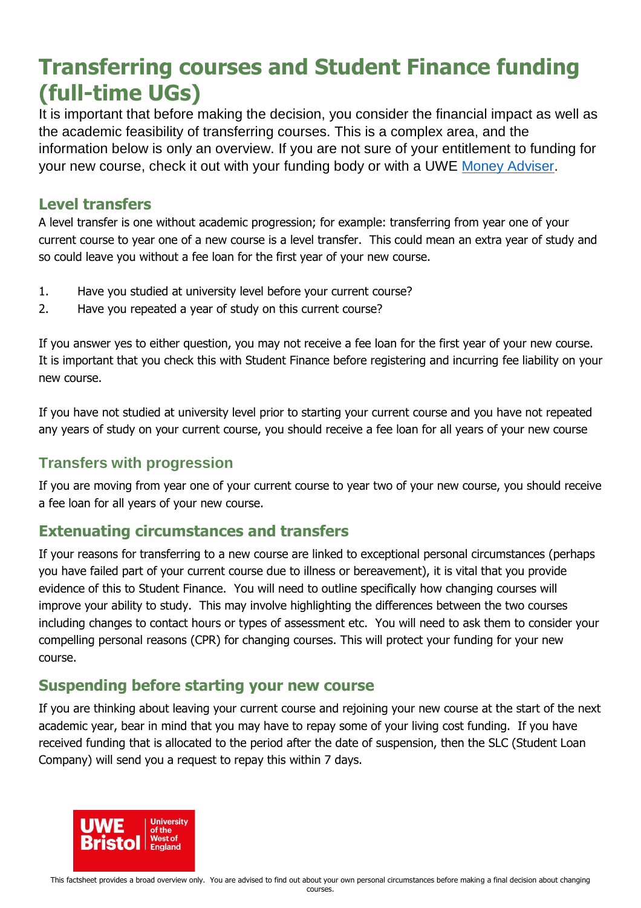# **Transferring courses and Student Finance funding (full-time UGs)**

It is important that before making the decision, you consider the financial impact as well as the academic feasibility of transferring courses. This is a complex area, and the information below is only an overview. If you are not sure of your entitlement to funding for your new course, check it out with your funding body or with a UWE [Money Adviser.](http://www1.uwe.ac.uk/students/feesandfunding/feesandfundingenquiries.aspx)

#### **Level transfers**

A level transfer is one without academic progression; for example: transferring from year one of your current course to year one of a new course is a level transfer. This could mean an extra year of study and so could leave you without a fee loan for the first year of your new course.

- 1. Have you studied at university level before your current course?
- 2. Have you repeated a year of study on this current course?

If you answer yes to either question, you may not receive a fee loan for the first year of your new course. It is important that you check this with Student Finance before registering and incurring fee liability on your new course.

If you have not studied at university level prior to starting your current course and you have not repeated any years of study on your current course, you should receive a fee loan for all years of your new course

## **Transfers with progression**

If you are moving from year one of your current course to year two of your new course, you should receive a fee loan for all years of your new course.

## **Extenuating circumstances and transfers**

If your reasons for transferring to a new course are linked to exceptional personal circumstances (perhaps you have failed part of your current course due to illness or bereavement), it is vital that you provide evidence of this to Student Finance. You will need to outline specifically how changing courses will improve your ability to study. This may involve highlighting the differences between the two courses including changes to contact hours or types of assessment etc. You will need to ask them to consider your compelling personal reasons (CPR) for changing courses. This will protect your funding for your new course.

## **Suspending before starting your new course**

If you are thinking about leaving your current course and rejoining your new course at the start of the next academic year, bear in mind that you may have to repay some of your living cost funding. If you have received funding that is allocated to the period after the date of suspension, then the SLC (Student Loan Company) will send you a request to repay this within 7 days.